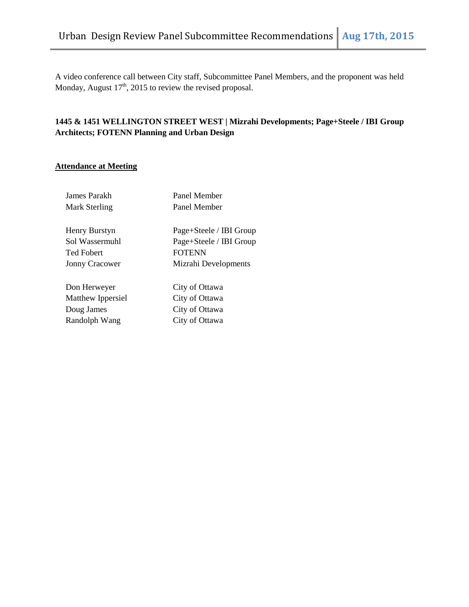A video conference call between City staff, Subcommittee Panel Members, and the proponent was held Monday, August  $17<sup>th</sup>$ , 2015 to review the revised proposal.

# **1445 & 1451 WELLINGTON STREET WEST | Mizrahi Developments; Page+Steele / IBI Group Architects; FOTENN Planning and Urban Design**

# **Attendance at Meeting**

| James Parakh          | Panel Member            |
|-----------------------|-------------------------|
| Mark Sterling         | Panel Member            |
|                       |                         |
| Henry Burstyn         | Page+Steele / IBI Group |
| Sol Wassermuhl        | Page+Steele / IBI Group |
| <b>Ted Fobert</b>     | <b>FOTENN</b>           |
| <b>Jonny Cracower</b> | Mizrahi Developments    |
|                       |                         |
| Don Herweyer          | City of Ottawa          |
| Matthew Ippersiel     | City of Ottawa          |
| Doug James            | City of Ottawa          |
| Randolph Wang         | City of Ottawa          |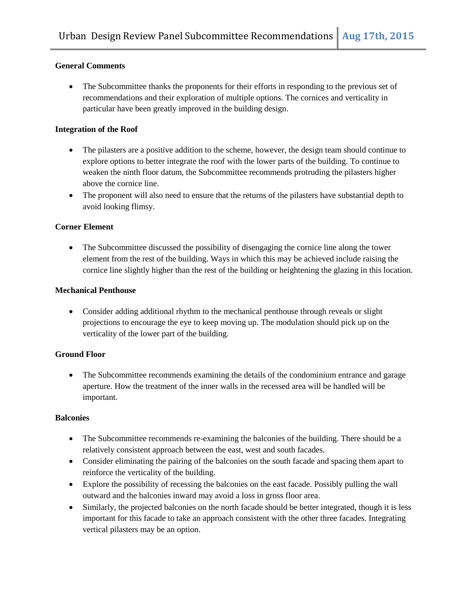### **General Comments**

 The Subcommittee thanks the proponents for their efforts in responding to the previous set of recommendations and their exploration of multiple options. The cornices and verticality in particular have been greatly improved in the building design.

#### **Integration of the Roof**

- The pilasters are a positive addition to the scheme, however, the design team should continue to explore options to better integrate the roof with the lower parts of the building. To continue to weaken the ninth floor datum, the Subcommittee recommends protruding the pilasters higher above the cornice line.
- The proponent will also need to ensure that the returns of the pilasters have substantial depth to avoid looking flimsy.

### **Corner Element**

 The Subcommittee discussed the possibility of disengaging the cornice line along the tower element from the rest of the building. Ways in which this may be achieved include raising the cornice line slightly higher than the rest of the building or heightening the glazing in this location.

#### **Mechanical Penthouse**

 Consider adding additional rhythm to the mechanical penthouse through reveals or slight projections to encourage the eye to keep moving up. The modulation should pick up on the verticality of the lower part of the building.

## **Ground Floor**

• The Subcommittee recommends examining the details of the condominium entrance and garage aperture. How the treatment of the inner walls in the recessed area will be handled will be important.

#### **Balconies**

- The Subcommittee recommends re-examining the balconies of the building. There should be a relatively consistent approach between the east, west and south facades.
- Consider eliminating the pairing of the balconies on the south facade and spacing them apart to reinforce the verticality of the building.
- Explore the possibility of recessing the balconies on the east facade. Possibly pulling the wall outward and the balconies inward may avoid a loss in gross floor area.
- Similarly, the projected balconies on the north facade should be better integrated, though it is less important for this facade to take an approach consistent with the other three facades. Integrating vertical pilasters may be an option.